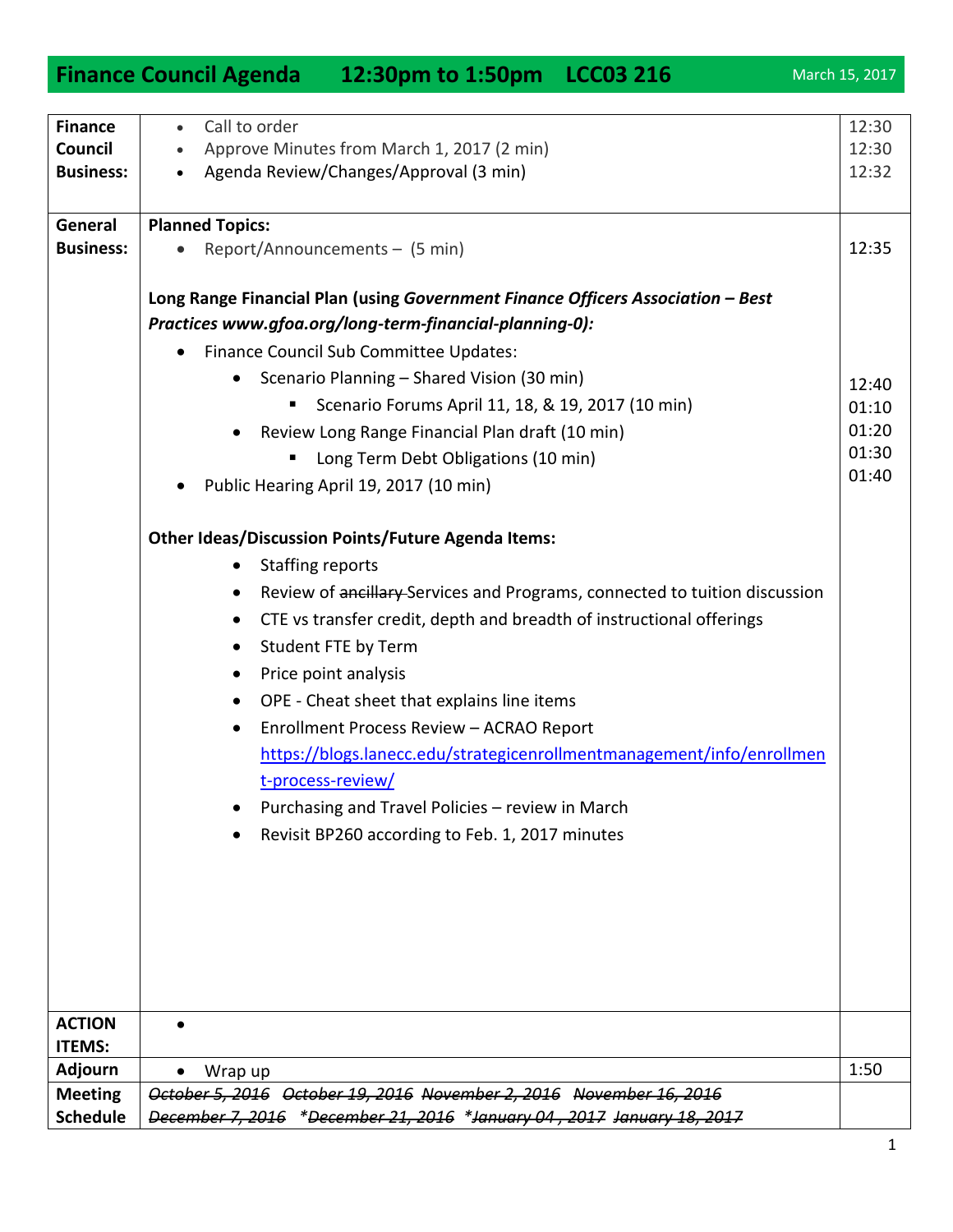| <b>Finance</b>   | Call to order<br>$\bullet$                                                      | 12:30 |
|------------------|---------------------------------------------------------------------------------|-------|
|                  |                                                                                 |       |
| Council          | Approve Minutes from March 1, 2017 (2 min)                                      | 12:30 |
| <b>Business:</b> | Agenda Review/Changes/Approval (3 min)<br>$\bullet$                             | 12:32 |
| General          | <b>Planned Topics:</b>                                                          |       |
| <b>Business:</b> | Report/Announcements - (5 min)                                                  | 12:35 |
|                  | Long Range Financial Plan (using Government Finance Officers Association - Best |       |
|                  | Practices www.gfoa.org/long-term-financial-planning-0):                         |       |
|                  | Finance Council Sub Committee Updates:<br>٠                                     |       |
|                  | Scenario Planning - Shared Vision (30 min)<br>$\bullet$                         | 12:40 |
|                  | Scenario Forums April 11, 18, & 19, 2017 (10 min)                               | 01:10 |
|                  | Review Long Range Financial Plan draft (10 min)<br>$\bullet$                    | 01:20 |
|                  | Long Term Debt Obligations (10 min)                                             | 01:30 |
|                  | Public Hearing April 19, 2017 (10 min)                                          | 01:40 |
|                  | <b>Other Ideas/Discussion Points/Future Agenda Items:</b>                       |       |
|                  | <b>Staffing reports</b><br>$\bullet$                                            |       |
|                  | Review of ancillary Services and Programs, connected to tuition discussion      |       |
|                  | CTE vs transfer credit, depth and breadth of instructional offerings<br>٠       |       |
|                  | Student FTE by Term<br>$\bullet$                                                |       |
|                  | Price point analysis<br>$\bullet$                                               |       |
|                  | OPE - Cheat sheet that explains line items<br>$\bullet$                         |       |
|                  | Enrollment Process Review - ACRAO Report<br>$\bullet$                           |       |
|                  | https://blogs.lanecc.edu/strategicenrollmentmanagement/info/enrollmen           |       |
|                  | t-process-review/                                                               |       |
|                  | Purchasing and Travel Policies - review in March                                |       |
|                  | Revisit BP260 according to Feb. 1, 2017 minutes                                 |       |
|                  |                                                                                 |       |
|                  |                                                                                 |       |
|                  |                                                                                 |       |
|                  |                                                                                 |       |
|                  |                                                                                 |       |
|                  |                                                                                 |       |
| <b>ACTION</b>    |                                                                                 |       |
| <b>ITEMS:</b>    |                                                                                 |       |
| <b>Adjourn</b>   | Wrap up                                                                         | 1:50  |
| <b>Meeting</b>   | October 5, 2016 October 19, 2016 November 2, 2016 November 16, 2016             |       |

**Schedule**  *December 7, 2016 \*December 21, 2016 \*January 04 , 2017 January 18, 2017* 

## **Finance Council Agenda 12:30pm to 1:50pm LCC03 216** March 15, 2017